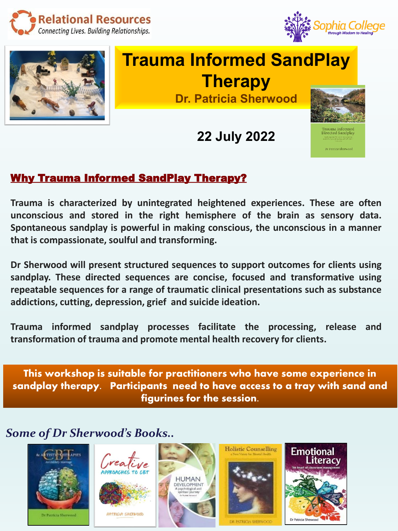





## **Trauma Informed SandPlay Therapy Dr. Patricia Sherwood**

**22 July 2022**



## Why Trauma Informed SandPlay Therapy?

**Trauma is characterized by unintegrated heightened experiences. These are often unconscious and stored in the right hemisphere of the brain as sensory data. Spontaneous sandplay is powerful in making conscious, the unconscious in a manner that is compassionate, soulful and transforming.**

**Dr Sherwood will present structured sequences to support outcomes for clients using sandplay. These directed sequences are concise, focused and transformative using repeatable sequences for a range of traumatic clinical presentations such as substance addictions, cutting, depression, grief and suicide ideation.**

**Trauma informed sandplay processes facilitate the processing, release and transformation of trauma and promote mental health recovery for clients.**

This workshop is suitable for practitioners who have some experience in sandplay therapy. Participants need to have access to a tray with sand and figurines for the session.

## *Some of Dr Sherwood's Books..*





PATRICIA SHERWOOD



**Holistic Counselling** 



**PATRICIA SHERWOOD**